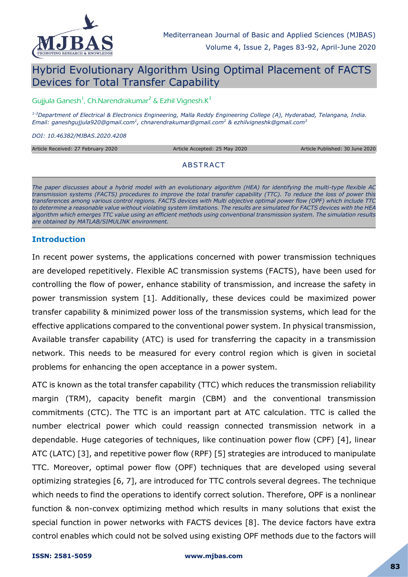

# Hybrid Evolutionary Algorithm Using Optimal Placement of FACTS Devices for Total Transfer Capability

Gujjula Ganesh<sup>1</sup>, Ch.Narendrakumar<sup>2</sup> & Ezhil Vignesh.K<sup>3</sup>

*1-3Department of Electrical & Electronics Engineering, Malla Reddy Engineering College (A), Hyderabad, Telangana, India. Email: ganeshgujjula920@gmail.com<sup>1</sup> , chnarendrakumar@gmail.com<sup>2</sup> & ezhilvigneshk@gmail.com<sup>3</sup>*

*DOI: 10.46382/MJBAS.2020.4208*

| Article Received: 27 February 2020 | Article Accepted: 25 May 2020 | Article Published: 30 June 2020 |
|------------------------------------|-------------------------------|---------------------------------|
|                                    |                               |                                 |
|                                    | ABSTRACT                      |                                 |
|                                    |                               |                                 |

*The paper discusses about a hybrid model with an evolutionary algorithm (HEA) for identifying the multi-type flexible AC transmission systems (FACTS) procedures to improve the total transfer capability (TTC). To reduce the loss of power this transferences among various control regions. FACTS devices with Multi objective optimal power flow (OPF) which include TTC to determine a reasonable value without violating system limitations. The results are simulated for FACTS devices with the HEA algorithm which emerges TTC value using an efficient methods using conventional transmission system. The simulation results are obtained by MATLAB/SIMULINK environment.*

#### **Introduction**

In recent power systems, the applications concerned with power transmission techniques are developed repetitively. Flexible AC transmission systems (FACTS), have been used for controlling the flow of power, enhance stability of transmission, and increase the safety in power transmission system [1]. Additionally, these devices could be maximized power transfer capability & minimized power loss of the transmission systems, which lead for the effective applications compared to the conventional power system. In physical transmission, Available transfer capability (ATC) is used for transferring the capacity in a transmission network. This needs to be measured for every control region which is given in societal problems for enhancing the open acceptance in a power system.

ATC is known as the total transfer capability (TTC) which reduces the transmission reliability margin (TRM), capacity benefit margin (CBM) and the conventional transmission commitments (CTC). The TTC is an important part at ATC calculation. TTC is called the number electrical power which could reassign connected transmission network in a dependable. Huge categories of techniques, like continuation power flow (CPF) [4], linear ATC (LATC) [3], and repetitive power flow (RPF) [5] strategies are introduced to manipulate TTC. Moreover, optimal power flow (OPF) techniques that are developed using several optimizing strategies [6, 7], are introduced for TTC controls several degrees. The technique which needs to find the operations to identify correct solution. Therefore, OPF is a nonlinear function & non-convex optimizing method which results in many solutions that exist the special function in power networks with FACTS devices [8]. The device factors have extra control enables which could not be solved using existing OPF methods due to the factors will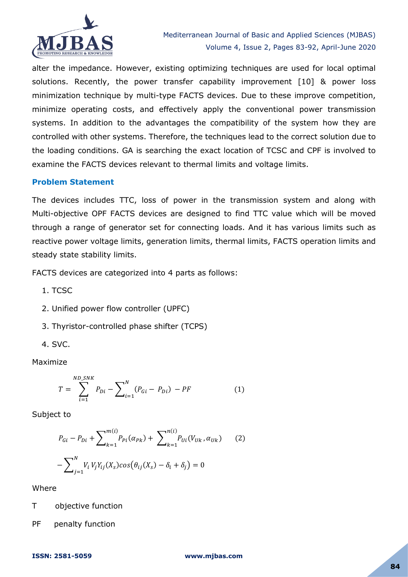

alter the impedance. However, existing optimizing techniques are used for local optimal solutions. Recently, the power transfer capability improvement [10] & power loss minimization technique by multi-type FACTS devices. Due to these improve competition, minimize operating costs, and effectively apply the conventional power transmission systems. In addition to the advantages the compatibility of the system how they are controlled with other systems. Therefore, the techniques lead to the correct solution due to the loading conditions. GA is searching the exact location of TCSC and CPF is involved to examine the FACTS devices relevant to thermal limits and voltage limits.

#### **Problem Statement**

The devices includes TTC, loss of power in the transmission system and along with Multi-objective OPF FACTS devices are designed to find TTC value which will be moved through a range of generator set for connecting loads. And it has various limits such as reactive power voltage limits, generation limits, thermal limits, FACTS operation limits and steady state stability limits.

FACTS devices are categorized into 4 parts as follows:

- 1. TCSC
- 2. Unified power flow controller (UPFC)
- 3. Thyristor-controlled phase shifter (TCPS)
- 4. SVC.

Maximize

$$
T = \sum_{i=1}^{ND\_SNK} P_{Di} - \sum_{i=1}^{N} (P_{Gi} - P_{Di}) - PF
$$
 (1)

Subject to

$$
P_{Gi} - P_{Di} + \sum_{k=1}^{m(i)} P_{Pi}(\alpha_{Pk}) + \sum_{k=1}^{n(i)} P_{Ui}(V_{Uk}, \alpha_{Uk})
$$
 (2)  
-
$$
\sum_{j=1}^{N} V_i V_j Y_{ij}(X_s) \cos(\theta_{ij}(X_s) - \delta_i + \delta_j) = 0
$$

Where

T objective function

PF penalty function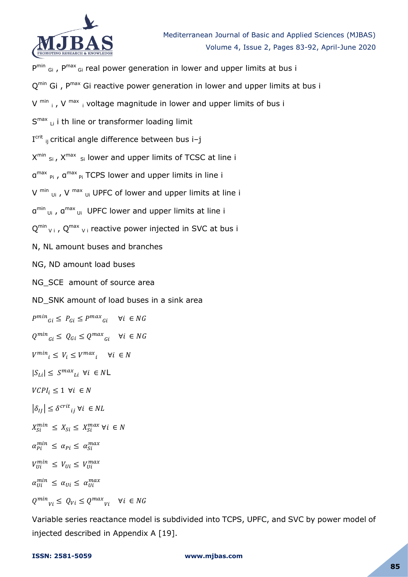

 $P^{min}$  <sub>Gi</sub>,  $P^{max}$ <sub>Gi</sub> real power generation in lower and upper limits at bus i Q<sup>min</sup> Gi, P<sup>max</sup> Gi reactive power generation in lower and upper limits at bus i V  $^{\text{min}}$  i, V  $^{\text{max}}$  i voltage magnitude in lower and upper limits of bus i S<sup>max</sup> Li i th line or transformer loading limit I<sup>crit</sup> ij critical angle difference between bus i-j  $X^{min}$  <sub>Si</sub>,  $X^{max}$  <sub>Si</sub> lower and upper limits of TCSC at line i α<sup>max</sup> <sub>Pi</sub>, α<sup>max</sup> <sub>Pi</sub> TCPS lower and upper limits in line i V  $^{\text{min}}$  <sub>Ui</sub>, V  $^{\text{max}}$  <sub>Ui</sub> UPFC of lower and upper limits at line i α<sup>min</sup> <sub>Ui</sub>, α<sup>max</sup> <sub>Ui</sub> UPFC lower and upper limits at line i  $Q^{min}$ <sub>Vi</sub>,  $Q^{max}$ <sub>Vi</sub> reactive power injected in SVC at bus i N, NL amount buses and branches NG, ND amount load buses NG SCE amount of source area ND SNK amount of load buses in a sink area  $P^{min}{}_{Gi} \leq P_{Gi} \leq P^{max}{}_{Gi}$  $Q^{min}_{Gi} \leq Q_{Gi} \leq Q^{max}_{G}$  $V^{min}$ <sub>i</sub>  $\leq V_i \leq V^{max}$ <sub>i</sub>  $|S_{Li}| \leq S^{max}$ <sub>Li</sub>  $\forall i \in N$ L  $VCPI_i \leq 1 \ \forall i \in N$  $|\delta_{IJ}| \leq \delta^{crit}$  $X_{\text{Si}}^{min} \leq X_{\text{Si}} \leq X_{\text{Si}}^{m}$  $\alpha_{pi}^{min} \leq \alpha_{pi} \leq \alpha_{si}^{m}$  $V_{\text{III}}^{\text{min}} \leq V_{\text{UI}} \leq V_{\text{III}}^{\text{max}}$  $\alpha_{I\!I\!I}^{min} \leq \alpha_{I\!I\!I} \leq \alpha_{I\!I\!I}^{m}$  $Q^{min}$ <sub>Vi</sub>  $\leq Q_{Vi} \leq Q^{max}$ <sub>V</sub>

Variable series reactance model is subdivided into TCPS, UPFC, and SVC by power model of injected described in Appendix A [19].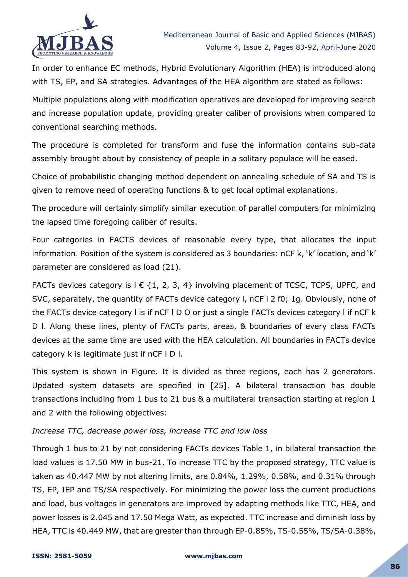

In order to enhance EC methods, Hybrid Evolutionary Algorithm (HEA) is introduced along with TS, EP, and SA strategies. Advantages of the HEA algorithm are stated as follows:

Multiple populations along with modification operatives are developed for improving search and increase population update, providing greater caliber of provisions when compared to conventional searching methods.

The procedure is completed for transform and fuse the information contains sub-data assembly brought about by consistency of people in a solitary populace will be eased.

Choice of probabilistic changing method dependent on annealing schedule of SA and TS is given to remove need of operating functions & to get local optimal explanations.

The procedure will certainly simplify similar execution of parallel computers for minimizing the lapsed time foregoing caliber of results.

Four categories in FACTS devices of reasonable every type, that allocates the input information. Position of the system is considered as 3 boundaries: nCF k, 'k' location, and 'k' parameter are considered as load (21).

FACTs devices category is  $I \in \{1, 2, 3, 4\}$  involving placement of TCSC, TCPS, UPFC, and SVC, separately, the quantity of FACTs device category l, nCF l 2 f0; 1g. Obviously, none of the FACTs device category l is if nCF l D O or just a single FACTs devices category l if nCF k D l. Along these lines, plenty of FACTs parts, areas, & boundaries of every class FACTs devices at the same time are used with the HEA calculation. All boundaries in FACTs device category k is legitimate just if nCF l D l.

This system is shown in Figure. It is divided as three regions, each has 2 generators. Updated system datasets are specified in [25]. A bilateral transaction has double transactions including from 1 bus to 21 bus & a multilateral transaction starting at region 1 and 2 with the following objectives:

#### *Increase TTC, decrease power loss, increase TTC and low loss*

Through 1 bus to 21 by not considering FACTs devices Table 1, in bilateral transaction the load values is 17.50 MW in bus-21. To increase TTC by the proposed strategy, TTC value is taken as 40.447 MW by not altering limits, are 0.84%, 1.29%, 0.58%, and 0.31% through TS, EP, IEP and TS/SA respectively. For minimizing the power loss the current productions and load, bus voltages in generators are improved by adapting methods like TTC, HEA, and power losses is 2.045 and 17.50 Mega Watt, as expected. TTC increase and diminish loss by HEA, TTC is 40.449 MW, that are greater than through EP-0.85%, TS-0.55%, TS/SA-0.38%,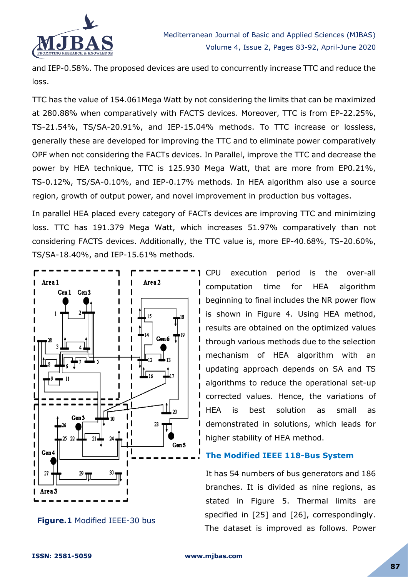

and IEP-0.58%. The proposed devices are used to concurrently increase TTC and reduce the loss.

TTC has the value of 154.061Mega Watt by not considering the limits that can be maximized at 280.88% when comparatively with FACTS devices. Moreover, TTC is from EP-22.25%, TS-21.54%, TS/SA-20.91%, and IEP-15.04% methods. To TTC increase or lossless, generally these are developed for improving the TTC and to eliminate power comparatively OPF when not considering the FACTs devices. In Parallel, improve the TTC and decrease the power by HEA technique, TTC is 125.930 Mega Watt, that are more from EP0.21%, TS-0.12%, TS/SA-0.10%, and IEP-0.17% methods. In HEA algorithm also use a source region, growth of output power, and novel improvement in production bus voltages.

In parallel HEA placed every category of FACTs devices are improving TTC and minimizing loss. TTC has 191.379 Mega Watt, which increases 51.97% comparatively than not considering FACTS devices. Additionally, the TTC value is, more EP-40.68%, TS-20.60%, TS/SA-18.40%, and IEP-15.61% methods.



**Figure.1** Modified IEEE-30 bus

CPU execution period is the over-all computation time for HEA algorithm beginning to final includes the NR power flow is shown in Figure 4. Using HEA method, results are obtained on the optimized values through various methods due to the selection mechanism of HEA algorithm with an updating approach depends on SA and TS algorithms to reduce the operational set-up corrected values. Hence, the variations of HEA is best solution as small as demonstrated in solutions, which leads for higher stability of HEA method.

## **The Modified IEEE 118-Bus System**

It has 54 numbers of bus generators and 186 branches. It is divided as nine regions, as stated in Figure 5. Thermal limits are specified in [25] and [26], correspondingly. The dataset is improved as follows. Power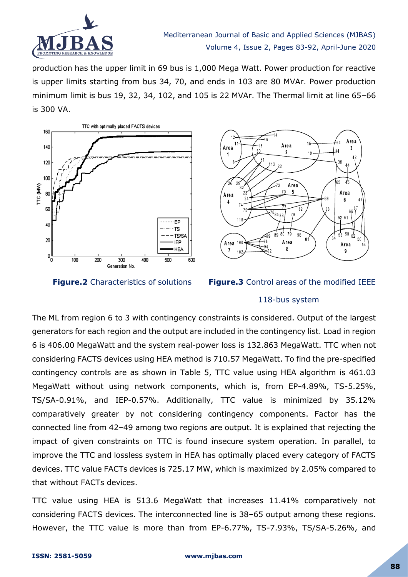

production has the upper limit in 69 bus is 1,000 Mega Watt. Power production for reactive is upper limits starting from bus 34, 70, and ends in 103 are 80 MVAr. Power production minimum limit is bus 19, 32, 34, 102, and 105 is 22 MVAr. The Thermal limit at line 65–66 is 300 VA.







#### 118-bus system

The ML from region 6 to 3 with contingency constraints is considered. Output of the largest generators for each region and the output are included in the contingency list. Load in region 6 is 406.00 MegaWatt and the system real-power loss is 132.863 MegaWatt. TTC when not considering FACTS devices using HEA method is 710.57 MegaWatt. To find the pre-specified contingency controls are as shown in Table 5, TTC value using HEA algorithm is 461.03 MegaWatt without using network components, which is, from EP-4.89%, TS-5.25%, TS/SA-0.91%, and IEP-0.57%. Additionally, TTC value is minimized by 35.12% comparatively greater by not considering contingency components. Factor has the connected line from 42–49 among two regions are output. It is explained that rejecting the impact of given constraints on TTC is found insecure system operation. In parallel, to improve the TTC and lossless system in HEA has optimally placed every category of FACTS devices. TTC value FACTs devices is 725.17 MW, which is maximized by 2.05% compared to that without FACTs devices.

TTC value using HEA is 513.6 MegaWatt that increases 11.41% comparatively not considering FACTS devices. The interconnected line is 38–65 output among these regions. However, the TTC value is more than from EP-6.77%, TS-7.93%, TS/SA-5.26%, and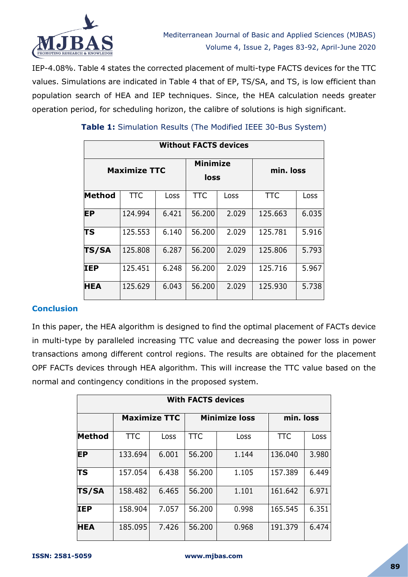

IEP-4.08%. Table 4 states the corrected placement of multi-type FACTS devices for the TTC values. Simulations are indicated in Table 4 that of EP, TS/SA, and TS, is low efficient than population search of HEA and IEP techniques. Since, the HEA calculation needs greater operation period, for scheduling horizon, the calibre of solutions is high significant.

| <b>Without FACTS devices</b> |            |       |                         |       |            |       |  |  |  |
|------------------------------|------------|-------|-------------------------|-------|------------|-------|--|--|--|
| <b>Maximize TTC</b>          |            |       | <b>Minimize</b><br>loss |       | min. loss  |       |  |  |  |
| <b>Method</b>                | <b>TTC</b> | Loss  | <b>TTC</b>              | Loss  | <b>TTC</b> | Loss  |  |  |  |
| <b>EP</b>                    | 124.994    | 6.421 | 56,200                  | 2.029 | 125.663    | 6.035 |  |  |  |
| ΙTS                          | 125.553    | 6.140 | 56.200                  | 2.029 | 125.781    | 5.916 |  |  |  |
| <b>TS/SA</b>                 | 125,808    | 6.287 | 56,200                  | 2.029 | 125.806    | 5.793 |  |  |  |
| <b>IEP</b>                   | 125.451    | 6.248 | 56.200                  | 2.029 | 125.716    | 5.967 |  |  |  |
| <b>HEA</b>                   | 125.629    | 6.043 | 56,200                  | 2.029 | 125.930    | 5.738 |  |  |  |

# **Table 1:** Simulation Results (The Modified IEEE 30-Bus System)

## **Conclusion**

In this paper, the HEA algorithm is designed to find the optimal placement of FACTs device in multi-type by paralleled increasing TTC value and decreasing the power loss in power transactions among different control regions. The results are obtained for the placement OPF FACTs devices through HEA algorithm. This will increase the TTC value based on the normal and contingency conditions in the proposed system.

| <b>With FACTS devices</b> |            |                                                          |            |       |            |       |  |  |  |
|---------------------------|------------|----------------------------------------------------------|------------|-------|------------|-------|--|--|--|
|                           |            | <b>Maximize TTC</b><br><b>Minimize loss</b><br>min. loss |            |       |            |       |  |  |  |
| Method                    | <b>TTC</b> | Loss                                                     | <b>TTC</b> | Loss  | <b>TTC</b> | Loss  |  |  |  |
| <b>EP</b>                 | 133.694    | 6.001                                                    | 56.200     | 1.144 | 136.040    | 3.980 |  |  |  |
| TS                        | 157.054    | 6.438                                                    | 56.200     | 1.105 | 157.389    | 6.449 |  |  |  |
| <b>TS/SA</b>              | 158,482    | 6.465                                                    | 56,200     | 1.101 | 161.642    | 6.971 |  |  |  |
| <b>IEP</b>                | 158.904    | 7.057                                                    | 56.200     | 0.998 | 165.545    | 6.351 |  |  |  |
| <b>HEA</b>                | 185.095    | 7.426                                                    | 56.200     | 0.968 | 191.379    | 6.474 |  |  |  |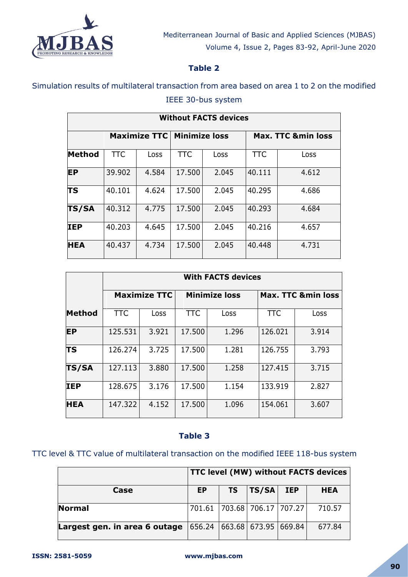

# **Table 2**

# Simulation results of multilateral transaction from area based on area 1 to 2 on the modified IEEE 30-bus system

| <b>Without FACTS devices</b> |            |                     |                      |       |            |                               |  |  |
|------------------------------|------------|---------------------|----------------------|-------|------------|-------------------------------|--|--|
|                              |            | <b>Maximize TTC</b> | <b>Minimize loss</b> |       |            | <b>Max. TTC &amp;min loss</b> |  |  |
| Method                       | <b>TTC</b> | Loss                | <b>TTC</b>           | Loss  | <b>TTC</b> | Loss                          |  |  |
| <b>EP</b>                    | 39.902     | 4.584               | 17.500               | 2.045 | 40.111     | 4.612                         |  |  |
| ΤS                           | 40.101     | 4.624               | 17.500               | 2.045 | 40.295     | 4.686                         |  |  |
| <b>TS/SA</b>                 | 40.312     | 4.775               | 17.500               | 2.045 | 40.293     | 4.684                         |  |  |
| <b>IEP</b>                   | 40.203     | 4.645               | 17.500               | 2.045 | 40.216     | 4.657                         |  |  |
| <b>HEA</b>                   | 40.437     | 4.734               | 17.500               | 2.045 | 40.448     | 4.731                         |  |  |

|              | <b>With FACTS devices</b> |       |            |                      |                               |       |  |  |  |
|--------------|---------------------------|-------|------------|----------------------|-------------------------------|-------|--|--|--|
|              | <b>Maximize TTC</b>       |       |            | <b>Minimize loss</b> | <b>Max. TTC &amp;min loss</b> |       |  |  |  |
| Method       | <b>TTC</b>                | Loss  | <b>TTC</b> | Loss                 | <b>TTC</b>                    | Loss  |  |  |  |
| <b>EP</b>    | 125.531                   | 3.921 | 17.500     | 1.296                | 126.021                       | 3.914 |  |  |  |
| <b>TS</b>    | 126.274                   | 3.725 | 17.500     | 1.281                | 126.755                       | 3.793 |  |  |  |
| <b>TS/SA</b> | 127.113                   | 3.880 | 17.500     | 1.258                | 127.415                       | 3.715 |  |  |  |
| <b>IEP</b>   | 128.675                   | 3.176 | 17.500     | 1.154                | 133.919                       | 2.827 |  |  |  |
| <b>HEA</b>   | 147.322                   | 4.152 | 17.500     | 1.096                | 154.061                       | 3.607 |  |  |  |

## **Table 3**

# TTC level & TTC value of multilateral transaction on the modified IEEE 118-bus system

|                                                                       | TTC level (MW) without FACTS devices |    |             |  |            |
|-----------------------------------------------------------------------|--------------------------------------|----|-------------|--|------------|
| Case                                                                  | <b>EP</b>                            | TS | $TS/SA$ IEP |  | <b>HEA</b> |
| Normal                                                                | 701.61 703.68 706.17 707.27          |    |             |  | 710.57     |
| <b>Largest gen. in area 6 outage</b> $ 656.24  663.68 673.95  669.84$ |                                      |    |             |  | 677.84     |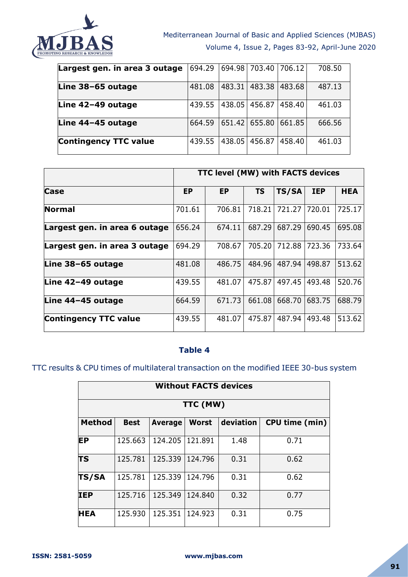

| Largest gen. in area 3 outage | 694.29 |        | 694.98   703.40   706.12 |         | 708.50 |
|-------------------------------|--------|--------|--------------------------|---------|--------|
| Line 38-65 outage             | 481.08 |        | 483.31 483.38 483.68     |         | 487.13 |
| Line 42-49 outage             | 439.55 |        | 438.05 456.87            | 1458.40 | 461.03 |
| Line 44-45 outage             | 664.59 |        | 651.42 655.80 661.85     |         | 666.56 |
| <b>Contingency TTC value</b>  | 439.55 | 438.05 | 456.87                   | 458.40  | 461.03 |

|                               | TTC level (MW) with FACTS devices |           |           |        |            |            |  |
|-------------------------------|-----------------------------------|-----------|-----------|--------|------------|------------|--|
| Case                          | <b>EP</b>                         | <b>EP</b> | <b>TS</b> | TS/SA  | <b>IEP</b> | <b>HEA</b> |  |
| Normal                        | 701.61                            | 706.81    | 718.21    | 721.27 | 720.01     | 725.17     |  |
| Largest gen. in area 6 outage | 656.24                            | 674.11    | 687.29    | 687.29 | 690.45     | 695.08     |  |
| Largest gen. in area 3 outage | 694.29                            | 708.67    | 705.20    | 712.88 | 723.36     | 733.64     |  |
| Line 38-65 outage             | 481.08                            | 486.75    | 484.96    | 487.94 | 498.87     | 513.62     |  |
| Line 42-49 outage             | 439.55                            | 481.07    | 475.87    | 497.45 | 493.48     | 520.76     |  |
| Line 44-45 outage             | 664.59                            | 671.73    | 661.08    | 668.70 | 683.75     | 688.79     |  |
| <b>Contingency TTC value</b>  | 439.55                            | 481.07    | 475.87    | 487.94 | 493.48     | 513.62     |  |

#### **Table 4**

# TTC results & CPU times of multilateral transaction on the modified IEEE 30-bus system

|               | <b>Without FACTS devices</b> |                |              |           |                |  |  |  |  |
|---------------|------------------------------|----------------|--------------|-----------|----------------|--|--|--|--|
| TTC (MW)      |                              |                |              |           |                |  |  |  |  |
| <b>Method</b> | <b>Best</b>                  | <b>Average</b> | <b>Worst</b> | deviation | CPU time (min) |  |  |  |  |
| <b>EP</b>     | 125.663                      | 124.205        | 121.891      | 1.48      | 0.71           |  |  |  |  |
| <b>TS</b>     | 125.781                      | 125.339        | 124.796      | 0.31      | 0.62           |  |  |  |  |
| <b>TS/SA</b>  | 125.781                      | 125.339        | 124.796      | 0.31      | 0.62           |  |  |  |  |
| <b>IEP</b>    | 125.716                      | 125.349        | 124.840      | 0.32      | 0.77           |  |  |  |  |
| <b>HEA</b>    | 125.930                      | 125.351        | 124.923      | 0.31      | 0.75           |  |  |  |  |